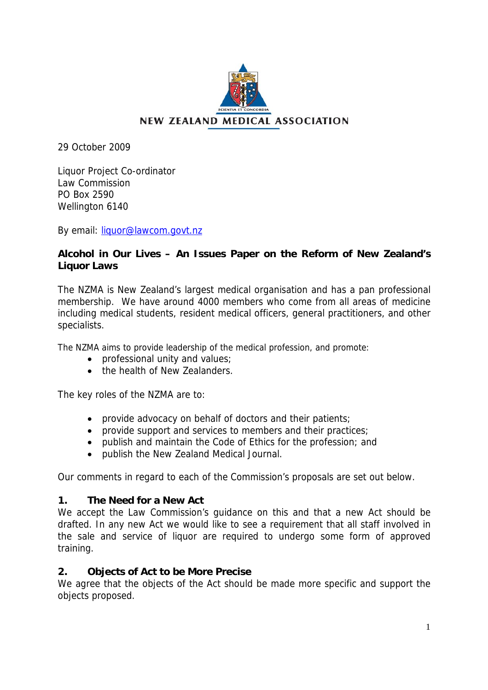

# **NEW ZEALAND MEDICAL ASSOCIATION**

29 October 2009

Liquor Project Co-ordinator Law Commission PO Box 2590 Wellington 6140

By email: [liquor@lawcom.govt.nz](mailto:liquor@lawcom.govt.nz)

# **Alcohol in Our Lives – An Issues Paper on the Reform of New Zealand's Liquor Laws**

The NZMA is New Zealand's largest medical organisation and has a pan professional membership. We have around 4000 members who come from all areas of medicine including medical students, resident medical officers, general practitioners, and other specialists.

The NZMA aims to provide leadership of the medical profession, and promote:

- professional unity and values;
- the health of New Zealanders

The key roles of the NZMA are to:

- provide advocacy on behalf of doctors and their patients;
- provide support and services to members and their practices;
- publish and maintain the Code of Ethics for the profession; and
- publish the New Zealand Medical Journal.

Our comments in regard to each of the Commission's proposals are set out below.

### **1. The Need for a New Act**

We accept the Law Commission's guidance on this and that a new Act should be drafted. In any new Act we would like to see a requirement that all staff involved in the sale and service of liquor are required to undergo some form of approved training.

# **2. Objects of Act to be More Precise**

We agree that the objects of the Act should be made more specific and support the objects proposed.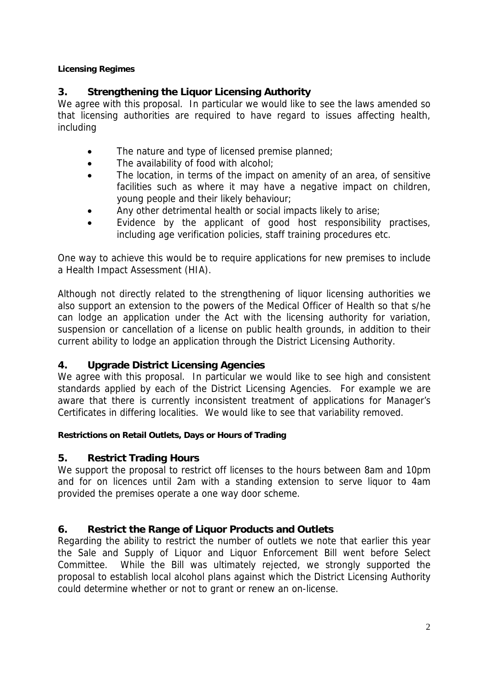### **Licensing Regimes**

# **3. Strengthening the Liquor Licensing Authority**

We agree with this proposal. In particular we would like to see the laws amended so that licensing authorities are required to have regard to issues affecting health, including

- The nature and type of licensed premise planned;
- The availability of food with alcohol;
- The location, in terms of the impact on amenity of an area, of sensitive facilities such as where it may have a negative impact on children, young people and their likely behaviour;
- Any other detrimental health or social impacts likely to arise;
- Evidence by the applicant of good host responsibility practises, including age verification policies, staff training procedures etc.

One way to achieve this would be to require applications for new premises to include a Health Impact Assessment (HIA).

Although not directly related to the strengthening of liquor licensing authorities we also support an extension to the powers of the Medical Officer of Health so that s/he can lodge an application under the Act with the licensing authority for variation, suspension or cancellation of a license on public health grounds, in addition to their current ability to lodge an application through the District Licensing Authority.

# **4. Upgrade District Licensing Agencies**

We agree with this proposal. In particular we would like to see high and consistent standards applied by each of the District Licensing Agencies. For example we are aware that there is currently inconsistent treatment of applications for Manager's Certificates in differing localities. We would like to see that variability removed.

### **Restrictions on Retail Outlets, Days or Hours of Trading**

# **5. Restrict Trading Hours**

We support the proposal to restrict off licenses to the hours between 8am and 10pm and for on licences until 2am with a standing extension to serve liquor to 4am provided the premises operate a one way door scheme.

# **6. Restrict the Range of Liquor Products and Outlets**

Regarding the ability to restrict the number of outlets we note that earlier this year the Sale and Supply of Liquor and Liquor Enforcement Bill went before Select Committee. While the Bill was ultimately rejected, we strongly supported the proposal to establish local alcohol plans against which the District Licensing Authority could determine whether or not to grant or renew an on-license.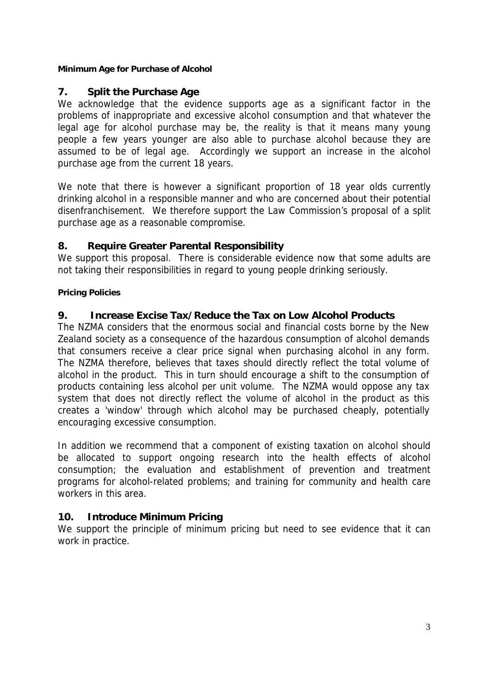### **Minimum Age for Purchase of Alcohol**

### **7. Split the Purchase Age**

We acknowledge that the evidence supports age as a significant factor in the problems of inappropriate and excessive alcohol consumption and that whatever the legal age for alcohol purchase may be, the reality is that it means many young people a few years younger are also able to purchase alcohol because they are assumed to be of legal age. Accordingly we support an increase in the alcohol purchase age from the current 18 years.

We note that there is however a significant proportion of 18 year olds currently drinking alcohol in a responsible manner and who are concerned about their potential disenfranchisement. We therefore support the Law Commission's proposal of a split purchase age as a reasonable compromise.

### **8. Require Greater Parental Responsibility**

We support this proposal. There is considerable evidence now that some adults are not taking their responsibilities in regard to young people drinking seriously.

#### **Pricing Policies**

### **9. Increase Excise Tax/Reduce the Tax on Low Alcohol Products**

The NZMA considers that the enormous social and financial costs borne by the New Zealand society as a consequence of the hazardous consumption of alcohol demands that consumers receive a clear price signal when purchasing alcohol in any form. The NZMA therefore, believes that taxes should directly reflect the total volume of alcohol in the product. This in turn should encourage a shift to the consumption of products containing less alcohol per unit volume. The NZMA would oppose any tax system that does not directly reflect the volume of alcohol in the product as this creates a 'window' through which alcohol may be purchased cheaply, potentially encouraging excessive consumption.

In addition we recommend that a component of existing taxation on alcohol should be allocated to support ongoing research into the health effects of alcohol consumption; the evaluation and establishment of prevention and treatment programs for alcohol-related problems; and training for community and health care workers in this area.

### **10. Introduce Minimum Pricing**

We support the principle of minimum pricing but need to see evidence that it can work in practice.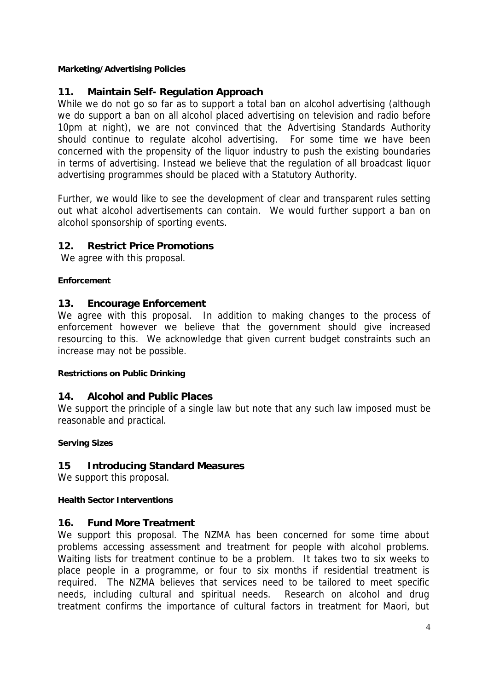#### **Marketing/Advertising Policies**

### **11. Maintain Self- Regulation Approach**

While we do not go so far as to support a total ban on alcohol advertising (although we do support a ban on all alcohol placed advertising on television and radio before 10pm at night), we are not convinced that the Advertising Standards Authority should continue to regulate alcohol advertising. For some time we have been concerned with the propensity of the liquor industry to push the existing boundaries in terms of advertising. Instead we believe that the regulation of all broadcast liquor advertising programmes should be placed with a Statutory Authority.

Further, we would like to see the development of clear and transparent rules setting out what alcohol advertisements can contain. We would further support a ban on alcohol sponsorship of sporting events.

### **12. Restrict Price Promotions**

We agree with this proposal.

#### **Enforcement**

### **13. Encourage Enforcement**

We agree with this proposal. In addition to making changes to the process of enforcement however we believe that the government should give increased resourcing to this. We acknowledge that given current budget constraints such an increase may not be possible.

#### **Restrictions on Public Drinking**

### **14. Alcohol and Public Places**

We support the principle of a single law but note that any such law imposed must be reasonable and practical.

### **Serving Sizes**

### **15 Introducing Standard Measures**

We support this proposal.

### **Health Sector Interventions**

### **16. Fund More Treatment**

We support this proposal. The NZMA has been concerned for some time about problems accessing assessment and treatment for people with alcohol problems. Waiting lists for treatment continue to be a problem. It takes two to six weeks to place people in a programme, or four to six months if residential treatment is required. The NZMA believes that services need to be tailored to meet specific needs, including cultural and spiritual needs. Research on alcohol and drug treatment confirms the importance of cultural factors in treatment for Maori, but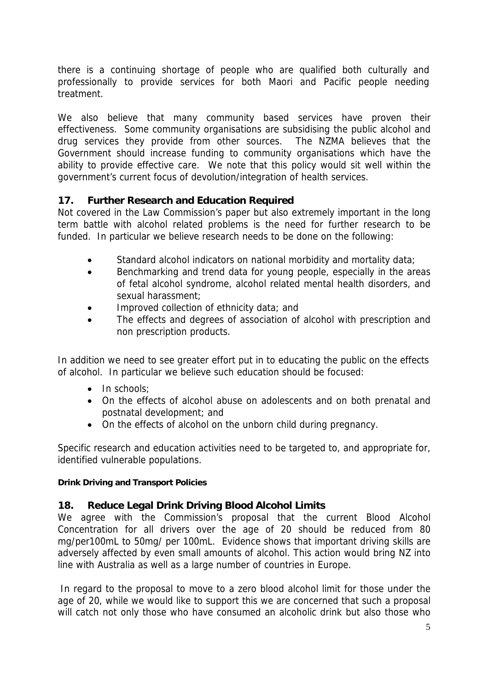there is a continuing shortage of people who are qualified both culturally and professionally to provide services for both Maori and Pacific people needing treatment.

We also believe that many community based services have proven their effectiveness. Some community organisations are subsidising the public alcohol and drug services they provide from other sources. The NZMA believes that the Government should increase funding to community organisations which have the ability to provide effective care. We note that this policy would sit well within the government's current focus of devolution/integration of health services.

# **17. Further Research and Education Required**

Not covered in the Law Commission's paper but also extremely important in the long term battle with alcohol related problems is the need for further research to be funded. In particular we believe research needs to be done on the following:

- Standard alcohol indicators on national morbidity and mortality data;
- Benchmarking and trend data for young people, especially in the areas of fetal alcohol syndrome, alcohol related mental health disorders, and sexual harassment;
- Improved collection of ethnicity data; and
- The effects and degrees of association of alcohol with prescription and non prescription products.

In addition we need to see greater effort put in to educating the public on the effects of alcohol. In particular we believe such education should be focused:

- In schools:
- On the effects of alcohol abuse on adolescents and on both prenatal and postnatal development; and
- On the effects of alcohol on the unborn child during pregnancy.

Specific research and education activities need to be targeted to, and appropriate for, identified vulnerable populations.

### **Drink Driving and Transport Policies**

# **18. Reduce Legal Drink Driving Blood Alcohol Limits**

We agree with the Commission's proposal that the current Blood Alcohol Concentration for all drivers over the age of 20 should be reduced from 80 mg/per100mL to 50mg/ per 100mL. Evidence shows that important driving skills are adversely affected by even small amounts of alcohol. This action would bring NZ into line with Australia as well as a large number of countries in Europe.

In regard to the proposal to move to a zero blood alcohol limit for those under the age of 20, while we would like to support this we are concerned that such a proposal will catch not only those who have consumed an alcoholic drink but also those who